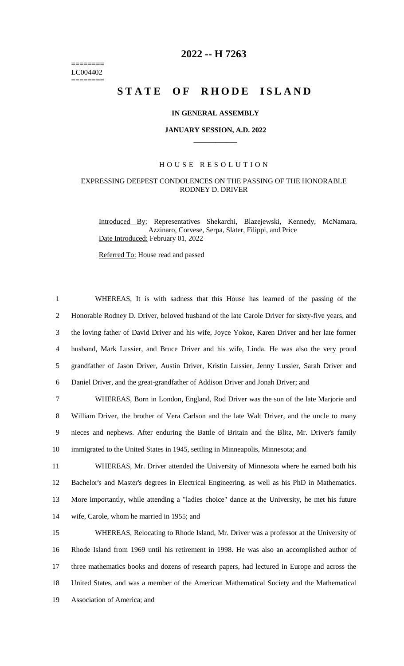======== LC004402 ========

# **2022 -- H 7263**

# STATE OF RHODE ISLAND

### **IN GENERAL ASSEMBLY**

#### **JANUARY SESSION, A.D. 2022 \_\_\_\_\_\_\_\_\_\_\_\_**

## H O U S E R E S O L U T I O N

# EXPRESSING DEEPEST CONDOLENCES ON THE PASSING OF THE HONORABLE RODNEY D. DRIVER

Introduced By: Representatives Shekarchi, Blazejewski, Kennedy, McNamara, Azzinaro, Corvese, Serpa, Slater, Filippi, and Price Date Introduced: February 01, 2022

Referred To: House read and passed

 WHEREAS, It is with sadness that this House has learned of the passing of the Honorable Rodney D. Driver, beloved husband of the late Carole Driver for sixty-five years, and the loving father of David Driver and his wife, Joyce Yokoe, Karen Driver and her late former husband, Mark Lussier, and Bruce Driver and his wife, Linda. He was also the very proud grandfather of Jason Driver, Austin Driver, Kristin Lussier, Jenny Lussier, Sarah Driver and Daniel Driver, and the great-grandfather of Addison Driver and Jonah Driver; and WHEREAS, Born in London, England, Rod Driver was the son of the late Marjorie and William Driver, the brother of Vera Carlson and the late Walt Driver, and the uncle to many nieces and nephews. After enduring the Battle of Britain and the Blitz, Mr. Driver's family immigrated to the United States in 1945, settling in Minneapolis, Minnesota; and WHEREAS, Mr. Driver attended the University of Minnesota where he earned both his Bachelor's and Master's degrees in Electrical Engineering, as well as his PhD in Mathematics. More importantly, while attending a "ladies choice" dance at the University, he met his future wife, Carole, whom he married in 1955; and WHEREAS, Relocating to Rhode Island, Mr. Driver was a professor at the University of Rhode Island from 1969 until his retirement in 1998. He was also an accomplished author of three mathematics books and dozens of research papers, had lectured in Europe and across the United States, and was a member of the American Mathematical Society and the Mathematical Association of America; and